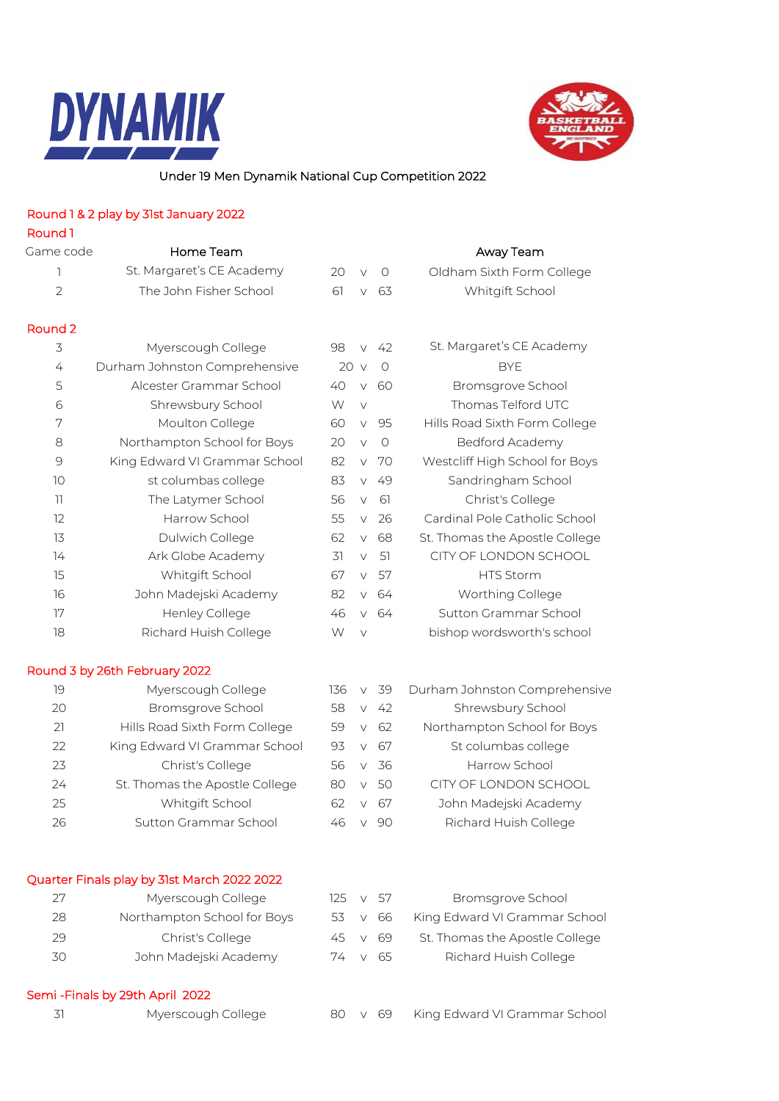



## Under 19 Men Dynamik National Cup Competition 2022

## Round 1 & 2 play by 31st January 2022

| Round 1            |                                             |                 |        |          |                                |
|--------------------|---------------------------------------------|-----------------|--------|----------|--------------------------------|
| Game code          | Home Team                                   |                 |        |          | Away Team                      |
| 1                  | St. Margaret's CE Academy                   | 20              | $\vee$ | $\circ$  | Oldham Sixth Form College      |
| $\overline{2}$     | The John Fisher School                      | 61              | $\vee$ | 63       | Whitgift School                |
| Round <sub>2</sub> |                                             |                 |        |          |                                |
| 3                  | Myerscough College                          | 98              | $\vee$ | 42       | St. Margaret's CE Academy      |
| 4                  | Durham Johnston Comprehensive               | 20 <sub>v</sub> |        | $\Omega$ | <b>BYE</b>                     |
| 5                  | Alcester Grammar School                     | 40              | $\vee$ | 60       | Bromsgrove School              |
| 6                  | Shrewsbury School                           | W               | $\vee$ |          | Thomas Telford UTC             |
| 7                  | Moulton College                             | 60              | $\vee$ | 95       | Hills Road Sixth Form College  |
| 8                  | Northampton School for Boys                 | 20              | $\vee$ | $\circ$  | Bedford Academy                |
| 9                  | King Edward VI Grammar School               | 82              | $\vee$ | 70       | Westcliff High School for Boys |
| 10                 | st columbas college                         | 83              | $\vee$ | 49       | Sandringham School             |
| 11                 | The Latymer School                          | 56              | $\vee$ | 61       | Christ's College               |
| 12                 | Harrow School                               | 55              | $\vee$ | 26       | Cardinal Pole Catholic School  |
| 13                 | Dulwich College                             | 62              | $\vee$ | 68       | St. Thomas the Apostle College |
| 14                 | Ark Globe Academy                           | 31              | $\vee$ | 51       | CITY OF LONDON SCHOOL          |
| 15                 | Whitgift School                             | 67              | $\vee$ | 57       | <b>HTS Storm</b>               |
| 16                 | John Madejski Academy                       | 82              | $\vee$ | 64       | Worthing College               |
| 17                 | Henley College                              | 46              | $\vee$ | 64       | Sutton Grammar School          |
| 18                 | Richard Huish College                       | W               | $\vee$ |          | bishop wordsworth's school     |
|                    | Round 3 by 26th February 2022               |                 |        |          |                                |
| 19                 | Myerscough College                          | 136             | $\vee$ | -39      | Durham Johnston Comprehensive  |
| 20                 | Bromsgrove School                           | 58              | $\vee$ | 42       | Shrewsbury School              |
| 21                 | Hills Road Sixth Form College               | 59              | $\vee$ | 62       | Northampton School for Boys    |
| 22                 | King Edward VI Grammar School               | 93              | $\vee$ | 67       | St columbas college            |
| 23                 | Christ's College                            | 56              | $\vee$ | 36       | Harrow School                  |
| 24                 | St. Thomas the Apostle College              | 80              | $\vee$ | 50       | CITY OF LONDON SCHOOL          |
| 25                 | Whitgift School                             | 62              | $\vee$ | 67       | John Madejski Academy          |
| 26                 | Sutton Grammar School                       | 46              |        | v 90     | Richard Huish College          |
|                    | Quarter Finals play by 31st March 2022 2022 |                 |        |          |                                |
| 27                 | Myerscough College                          | 125             | $\vee$ | 57       | Bromsgrove School              |
| 28                 | Northampton School for Boys                 | 53              | V      | 66       | King Edward VI Grammar School  |
| 29                 | Christ's College                            | 45              | $\vee$ | 69       | St. Thomas the Apostle College |
| 30                 | John Madejski Academy                       | 74              | V      | 65       | Richard Huish College          |

## Semi -Finals by 29th April 2022

| Myerscough Co |
|---------------|
|               |
|               |
|               |
|               |

31 Myerscough College 80 v 69 King Edward VI Grammar School